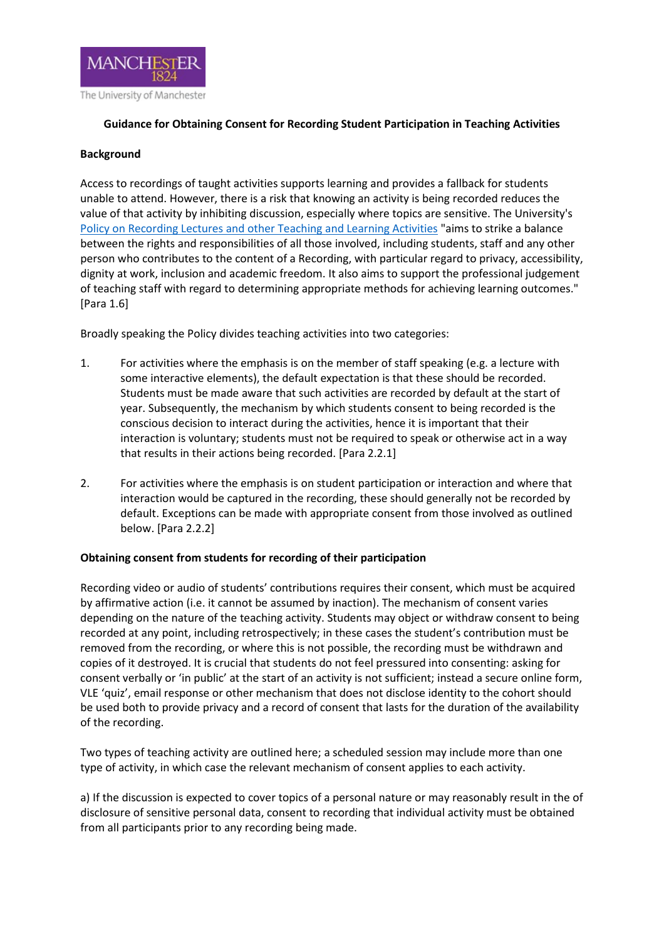

## **Guidance for Obtaining Consent for Recording Student Participation in Teaching Activities**

## **Background**

Access to recordings of taught activities supports learning and provides a fallback for students unable to attend. However, there is a risk that knowing an activity is being recorded reduces the value of that activity by inhibiting discussion, especially where topics are sensitive. The University's [Policy on Recording Lectures and other Teaching and Learning Activities](https://www.staffnet.manchester.ac.uk/tlso/policy-guidance/teaching-and-learning/learning/recording-lectures/) "aims to strike a balance between the rights and responsibilities of all those involved, including students, staff and any other person who contributes to the content of a Recording, with particular regard to privacy, accessibility, dignity at work, inclusion and academic freedom. It also aims to support the professional judgement of teaching staff with regard to determining appropriate methods for achieving learning outcomes." [Para 1.6]

Broadly speaking the Policy divides teaching activities into two categories:

- 1. For activities where the emphasis is on the member of staff speaking (e.g. a lecture with some interactive elements), the default expectation is that these should be recorded. Students must be made aware that such activities are recorded by default at the start of year. Subsequently, the mechanism by which students consent to being recorded is the conscious decision to interact during the activities, hence it is important that their interaction is voluntary; students must not be required to speak or otherwise act in a way that results in their actions being recorded. [Para 2.2.1]
- 2. For activities where the emphasis is on student participation or interaction and where that interaction would be captured in the recording, these should generally not be recorded by default. Exceptions can be made with appropriate consent from those involved as outlined below. [Para 2.2.2]

## **Obtaining consent from students for recording of their participation**

Recording video or audio of students' contributions requires their consent, which must be acquired by affirmative action (i.e. it cannot be assumed by inaction). The mechanism of consent varies depending on the nature of the teaching activity. Students may object or withdraw consent to being recorded at any point, including retrospectively; in these cases the student's contribution must be removed from the recording, or where this is not possible, the recording must be withdrawn and copies of it destroyed. It is crucial that students do not feel pressured into consenting: asking for consent verbally or 'in public' at the start of an activity is not sufficient; instead a secure online form, VLE 'quiz', email response or other mechanism that does not disclose identity to the cohort should be used both to provide privacy and a record of consent that lasts for the duration of the availability of the recording.

Two types of teaching activity are outlined here; a scheduled session may include more than one type of activity, in which case the relevant mechanism of consent applies to each activity.

a) If the discussion is expected to cover topics of a personal nature or may reasonably result in the of disclosure of sensitive personal data, consent to recording that individual activity must be obtained from all participants prior to any recording being made.